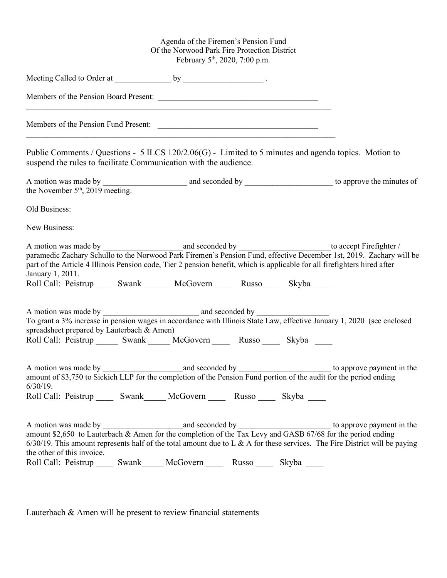## Agenda of the Firemen's Pension Fund Of the Norwood Park Fire Protection District February 5<sup>th</sup>, 2020, 7:00 p.m.

| Members of the Pension Board Present:<br>,我们也不能在这里的人,我们也不能在这里的人,我们也不能不能不能不能不能不能不能不能不能不能。""我们的人,我们也不能不能不能不能不能不能不能不能不能不能不能不                                                                                                            |       |          |       |       |                                                                                                                               |
|--------------------------------------------------------------------------------------------------------------------------------------------------------------------------------------------------------------------------------------|-------|----------|-------|-------|-------------------------------------------------------------------------------------------------------------------------------|
| Members of the Pension Fund Present:                                                                                                                                                                                                 |       |          |       |       |                                                                                                                               |
| Public Comments / Questions - 5 ILCS 120/2.06(G) - Limited to 5 minutes and agenda topics. Motion to<br>suspend the rules to facilitate Communication with the audience.                                                             |       |          |       |       |                                                                                                                               |
| the November 5 <sup>th</sup> , 2019 meeting.                                                                                                                                                                                         |       |          |       |       |                                                                                                                               |
| Old Business:                                                                                                                                                                                                                        |       |          |       |       |                                                                                                                               |
| New Business:                                                                                                                                                                                                                        |       |          |       |       |                                                                                                                               |
| part of the Article 4 Illinois Pension code, Tier 2 pension benefit, which is applicable for all firefighters hired after<br>January 1, 2011.<br>Roll Call: Peistrup ______ Swank ________ McGovern _______ Russo ______ Skyba _____ |       |          |       |       |                                                                                                                               |
| spreadsheet prepared by Lauterbach & Amen)<br>Roll Call: Peistrup _______ Swank ______ McGovern _______ Russo ______ Skyba _____                                                                                                     |       |          |       |       | To grant a 3% increase in pension wages in accordance with Illinois State Law, effective January 1, 2020 (see enclosed        |
| $6/30/19$ .<br>Roll Call: Peistrup ______ Swank _____ McGovern _______ Russo ______ Skyba _____                                                                                                                                      |       |          |       |       |                                                                                                                               |
| the other of this invoice.                                                                                                                                                                                                           |       |          |       |       | $6/30/19$ . This amount represents half of the total amount due to L & A for these services. The Fire District will be paying |
| Roll Call: Peistrup                                                                                                                                                                                                                  | Swank | McGovern | Russo | Skyba |                                                                                                                               |

Lauterbach & Amen will be present to review financial statements